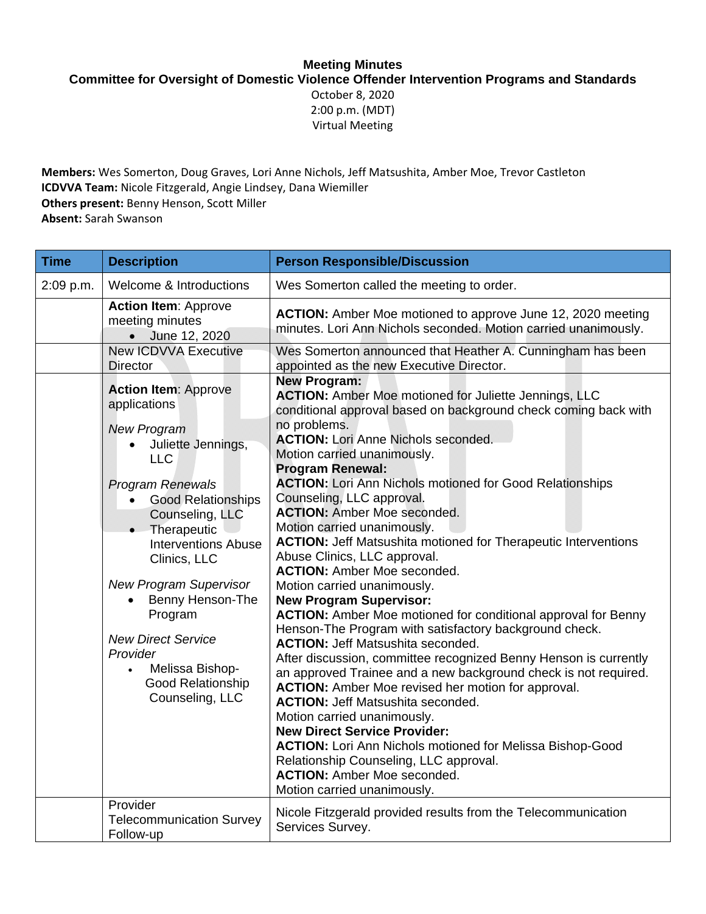## **Meeting Minutes**

**Committee for Oversight of Domestic Violence Offender Intervention Programs and Standards** 

October 8, 2020 2:00 p.m. (MDT) Virtual Meeting

**Members:** Wes Somerton, Doug Graves, Lori Anne Nichols, Jeff Matsushita, Amber Moe, Trevor Castleton **ICDVVA Team:** Nicole Fitzgerald, Angie Lindsey, Dana Wiemiller **Others present:** Benny Henson, Scott Miller

**Absent:** Sarah Swanson

| <b>Time</b> | <b>Description</b>                                                                                                                                                                                                                                                                                                                                                                                                                                       | <b>Person Responsible/Discussion</b>                                                                                                                                                                                                                                                                                                                                                                                                                                                                                                                                                                                                                                                                                                                                                                                                                                                                                                                                                                                                                                                                                                                                                                                                                                                  |
|-------------|----------------------------------------------------------------------------------------------------------------------------------------------------------------------------------------------------------------------------------------------------------------------------------------------------------------------------------------------------------------------------------------------------------------------------------------------------------|---------------------------------------------------------------------------------------------------------------------------------------------------------------------------------------------------------------------------------------------------------------------------------------------------------------------------------------------------------------------------------------------------------------------------------------------------------------------------------------------------------------------------------------------------------------------------------------------------------------------------------------------------------------------------------------------------------------------------------------------------------------------------------------------------------------------------------------------------------------------------------------------------------------------------------------------------------------------------------------------------------------------------------------------------------------------------------------------------------------------------------------------------------------------------------------------------------------------------------------------------------------------------------------|
| 2:09 p.m.   | Welcome & Introductions                                                                                                                                                                                                                                                                                                                                                                                                                                  | Wes Somerton called the meeting to order.                                                                                                                                                                                                                                                                                                                                                                                                                                                                                                                                                                                                                                                                                                                                                                                                                                                                                                                                                                                                                                                                                                                                                                                                                                             |
|             | <b>Action Item: Approve</b><br>meeting minutes<br>• June 12, 2020                                                                                                                                                                                                                                                                                                                                                                                        | ACTION: Amber Moe motioned to approve June 12, 2020 meeting<br>minutes. Lori Ann Nichols seconded. Motion carried unanimously.                                                                                                                                                                                                                                                                                                                                                                                                                                                                                                                                                                                                                                                                                                                                                                                                                                                                                                                                                                                                                                                                                                                                                        |
|             | <b>New ICDVVA Executive</b><br><b>Director</b>                                                                                                                                                                                                                                                                                                                                                                                                           | Wes Somerton announced that Heather A. Cunningham has been<br>appointed as the new Executive Director.                                                                                                                                                                                                                                                                                                                                                                                                                                                                                                                                                                                                                                                                                                                                                                                                                                                                                                                                                                                                                                                                                                                                                                                |
|             | <b>Action Item: Approve</b><br>applications<br><b>New Program</b><br>Juliette Jennings,<br><b>LLC</b><br><b>Program Renewals</b><br><b>Good Relationships</b><br>$\bullet$<br>Counseling, LLC<br>Therapeutic<br>$\bullet$<br><b>Interventions Abuse</b><br>Clinics, LLC<br><b>New Program Supervisor</b><br>Benny Henson-The<br>$\bullet$<br>Program<br><b>New Direct Service</b><br>Provider<br>Melissa Bishop-<br>Good Relationship<br>Counseling, LLC | <b>New Program:</b><br><b>ACTION:</b> Amber Moe motioned for Juliette Jennings, LLC<br>conditional approval based on background check coming back with<br>no problems.<br><b>ACTION: Lori Anne Nichols seconded.</b><br>Motion carried unanimously.<br><b>Program Renewal:</b><br><b>ACTION:</b> Lori Ann Nichols motioned for Good Relationships<br>Counseling, LLC approval.<br><b>ACTION: Amber Moe seconded.</b><br>Motion carried unanimously.<br><b>ACTION: Jeff Matsushita motioned for Therapeutic Interventions</b><br>Abuse Clinics, LLC approval.<br><b>ACTION: Amber Moe seconded.</b><br>Motion carried unanimously.<br><b>New Program Supervisor:</b><br><b>ACTION:</b> Amber Moe motioned for conditional approval for Benny<br>Henson-The Program with satisfactory background check.<br><b>ACTION: Jeff Matsushita seconded.</b><br>After discussion, committee recognized Benny Henson is currently<br>an approved Trainee and a new background check is not required.<br><b>ACTION:</b> Amber Moe revised her motion for approval.<br><b>ACTION: Jeff Matsushita seconded.</b><br>Motion carried unanimously.<br><b>New Direct Service Provider:</b><br><b>ACTION:</b> Lori Ann Nichols motioned for Melissa Bishop-Good<br>Relationship Counseling, LLC approval. |
|             |                                                                                                                                                                                                                                                                                                                                                                                                                                                          | <b>ACTION: Amber Moe seconded.</b><br>Motion carried unanimously.                                                                                                                                                                                                                                                                                                                                                                                                                                                                                                                                                                                                                                                                                                                                                                                                                                                                                                                                                                                                                                                                                                                                                                                                                     |
|             | Provider<br><b>Telecommunication Survey</b><br>Follow-up                                                                                                                                                                                                                                                                                                                                                                                                 | Nicole Fitzgerald provided results from the Telecommunication<br>Services Survey.                                                                                                                                                                                                                                                                                                                                                                                                                                                                                                                                                                                                                                                                                                                                                                                                                                                                                                                                                                                                                                                                                                                                                                                                     |